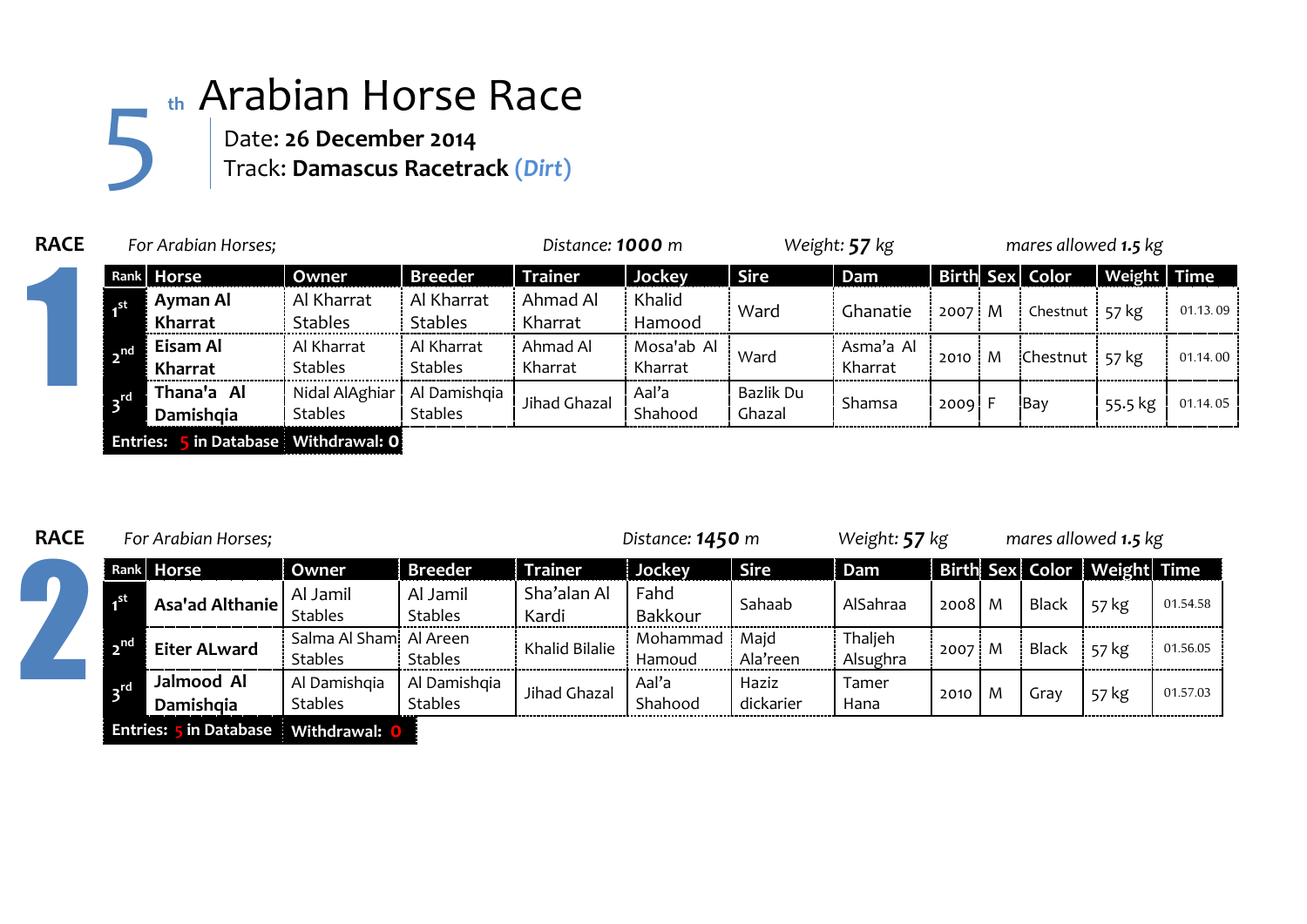## **th** Arabian Horse Race Date: **26 December 2014** 5

Track: **Damascus Racetrack (***Dirt***)**

| <b>RACE</b> | For Arabian Horses;                  |                         |                                                 |                              | Distance: 1000 m    |                       | Weight: 57 kg       |                      |                | mares allowed 1.5 kg |                 |                    |          |  |
|-------------|--------------------------------------|-------------------------|-------------------------------------------------|------------------------------|---------------------|-----------------------|---------------------|----------------------|----------------|----------------------|-----------------|--------------------|----------|--|
|             | Rank Horse                           |                         | Owner                                           | <b>Breeder</b>               | <b>Trainer</b>      | Jockey                | <b>Sire</b>         | Dam                  |                |                      | Birth Sex Color | <b>Weight Time</b> |          |  |
|             |                                      | Ayman Al<br>Kharrat     | Al Kharrat<br><b>Stables</b>                    | Al Kharrat<br><b>Stables</b> | Ahmad Al<br>Kharrat | Khalid<br>Hamood      | Ward                | Ghanatie             | $2007 \cdot M$ |                      | Chestnut 57 kg  |                    | 01.13.09 |  |
|             | $\sqrt{ }$                           | Eisam Al<br>Kharrat     | Al Kharrat<br><b>Stables</b>                    | Al Kharrat<br><b>Stables</b> | Ahmad Al<br>Kharrat | Mosa'ab Al<br>Kharrat | Ward                | Asma'a Al<br>Kharrat | 2010           | M                    | Chestnut 57 kg  |                    | 01.14.00 |  |
|             | $\mathsf{r}$ d                       | Thana'a Al<br>Damishoia | Nidal AlAghiar   Al Damishqia<br><b>Stables</b> | <b>Stables</b>               | Jihad Ghazal        | Aal'a<br>Shahood      | Bazlik Du<br>Ghazal | Shamsa               | $2009$ F       |                      | <b>Bay</b>      | 55.5 kg            | 01.14.05 |  |
|             | Entries: 5 in Database Withdrawal: 0 |                         |                                                 |                              |                     |                       |                     |                      |                |                      |                 |                    |          |  |

## **RACE** *For Arabian Horses; Distance: 1450 m Weight: 57 kg mares allowed 1.5 kg* **Rank Horse Owner Breeder Trainer Jockey Sire Dam Birth Sex Color Weight Time 1 Asa'ad Althanie** Al Jamil Stables Al Jamil Stables Sha'alan Al Kardi Fahd Panta Bakkour Sahaab AlSahraa 2008 M Black 57 kg 01.54.58 **2 Eiter ALward** Stables Salma Al Shami Al Areen Al Areen<br>Stables Khalid Bilalie Hamoud Hamoud Majd Ala'reen **Thaljeh** Alsughra 2007 M Black 57 kg 01.56.05 **3 rd Jalmood Al Damishqia** Al Damishqia Stables Al Damishqia Al Damishqia Jihad Ghazal Aal'a<br>Stables Jihad Ghazal Shah Shahood Haziz dickarier Tamer Hana 2010 M Gray 57 kg 01.57.03 2

**Entries: 5 in Database Withdrawal: 0**